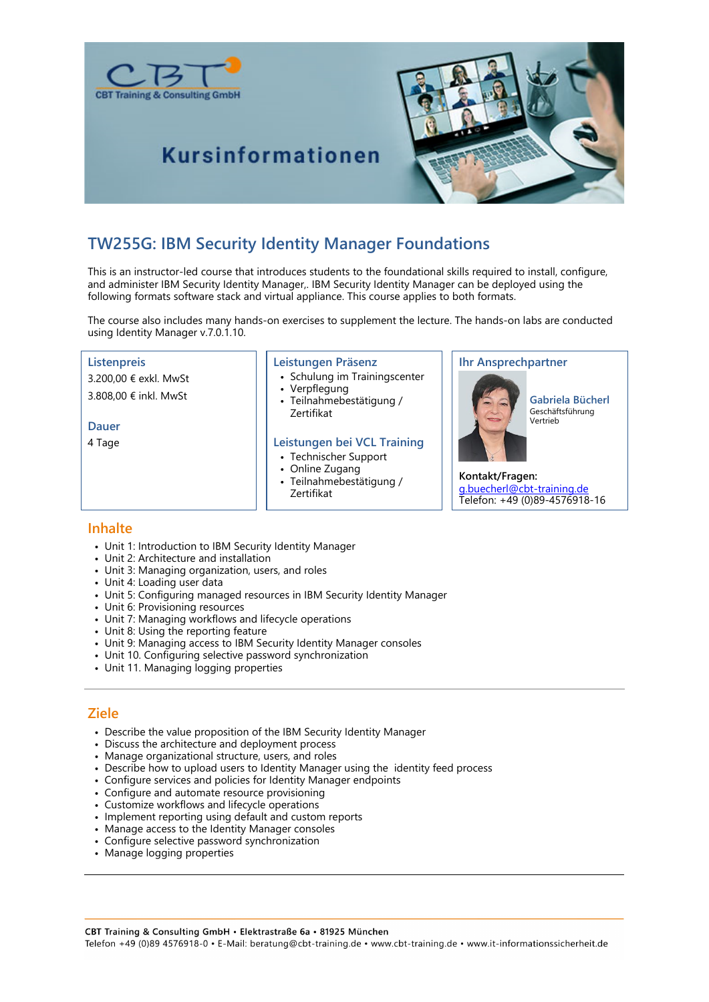



## **Kursinformationen**

### **TW255G: IBM Security Identity Manager Foundations**

This is an instructor-led course that introduces students to the foundational skills required to install, configure, and administer IBM Security Identity Manager,. IBM Security Identity Manager can be deployed using the following formats software stack and virtual appliance. This course applies to both formats.

The course also includes many hands-on exercises to supplement the lecture. The hands-on labs are conducted using Identity Manager v.7.0.1.10.

#### **Listenpreis**

3.200,00 € exkl. MwSt

3.808,00 € inkl. MwSt

#### **Dauer**

4 Tage

#### **Leistungen Präsenz**

- Schulung im Trainingscenter
- Verpflegung
- Teilnahmebestätigung / Zertifikat

#### **Leistungen bei VCL Training**

- Technischer Support
- Online Zugang
- Teilnahmebestätigung / Zertifikat

#### **Ihr Ansprechpartner**



**Gabriela Bücherl** Geschäftsführung Vertrieb

**Kontakt/Fragen:** g.buecherl@cbt-training.de Telefon: +49 (0)89-4576918-16

#### **Inhalte**

- Unit 1: Introduction to IBM Security Identity Manager
- Unit 2: Architecture and installation
- Unit 3: Managing organization, users, and roles
- Unit 4: Loading user data
- Unit 5: Configuring managed resources in IBM Security Identity Manager
- Unit 6: Provisioning resources
- Unit 7: Managing workflows and lifecycle operations
- Unit 8: Using the reporting feature
- Unit 9: Managing access to IBM Security Identity Manager consoles
- Unit 10. Configuring selective password synchronization
- Unit 11. Managing logging properties

#### **Ziele**

- Describe the value proposition of the IBM Security Identity Manager
- Discuss the architecture and deployment process
- Manage organizational structure, users, and roles
- Describe how to upload users to Identity Manager using the identity feed process
- Configure services and policies for Identity Manager endpoints
- Configure and automate resource provisioning
- Customize workflows and lifecycle operations
- Implement reporting using default and custom reports
- Manage access to the Identity Manager consoles
- Configure selective password synchronization
- Manage logging properties

CBT Training & Consulting GmbH · Elektrastraße 6a · 81925 München Telefon +49 (0)89 4576918-0 • E-Mail: beratung@cbt-training.de • www.cbt-training.de • www.it-informationssicherheit.de